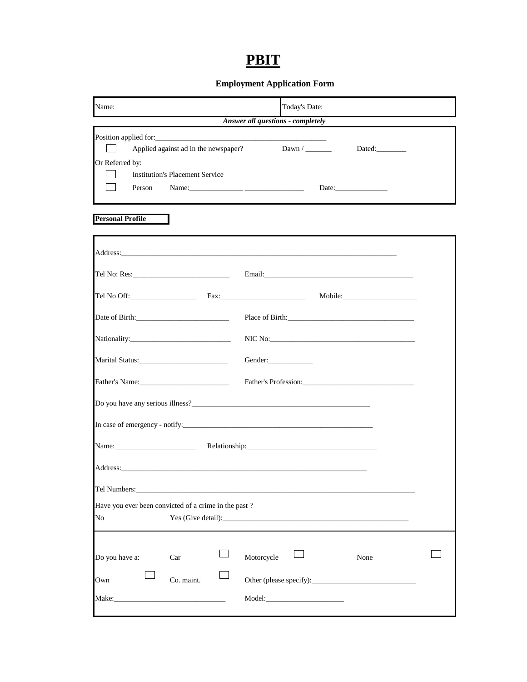## **PBIT**

## **Employment Application Form**

| Name:                                                                                                                                                                                                                                                                                                                                                                                                                                | Today's Date:           |  |  |  |  |
|--------------------------------------------------------------------------------------------------------------------------------------------------------------------------------------------------------------------------------------------------------------------------------------------------------------------------------------------------------------------------------------------------------------------------------------|-------------------------|--|--|--|--|
| Answer all questions - completely                                                                                                                                                                                                                                                                                                                                                                                                    |                         |  |  |  |  |
| Applied against ad in the newspaper?<br>Or Referred by:<br><b>Institution's Placement Service</b><br>Person<br>Name: $\frac{1}{2}$ $\frac{1}{2}$ $\frac{1}{2}$ $\frac{1}{2}$ $\frac{1}{2}$ $\frac{1}{2}$ $\frac{1}{2}$ $\frac{1}{2}$ $\frac{1}{2}$ $\frac{1}{2}$ $\frac{1}{2}$ $\frac{1}{2}$ $\frac{1}{2}$ $\frac{1}{2}$ $\frac{1}{2}$ $\frac{1}{2}$ $\frac{1}{2}$ $\frac{1}{2}$ $\frac{1}{2}$ $\frac{1}{2}$ $\frac{1}{2}$ $\frac{1$ | Dawn $/$                |  |  |  |  |
| <b>Personal Profile</b>                                                                                                                                                                                                                                                                                                                                                                                                              |                         |  |  |  |  |
|                                                                                                                                                                                                                                                                                                                                                                                                                                      |                         |  |  |  |  |
|                                                                                                                                                                                                                                                                                                                                                                                                                                      |                         |  |  |  |  |
|                                                                                                                                                                                                                                                                                                                                                                                                                                      |                         |  |  |  |  |
|                                                                                                                                                                                                                                                                                                                                                                                                                                      | Place of Birth:         |  |  |  |  |
|                                                                                                                                                                                                                                                                                                                                                                                                                                      |                         |  |  |  |  |
|                                                                                                                                                                                                                                                                                                                                                                                                                                      | Gender:                 |  |  |  |  |
|                                                                                                                                                                                                                                                                                                                                                                                                                                      |                         |  |  |  |  |
|                                                                                                                                                                                                                                                                                                                                                                                                                                      |                         |  |  |  |  |
|                                                                                                                                                                                                                                                                                                                                                                                                                                      |                         |  |  |  |  |
| Name: Name.                                                                                                                                                                                                                                                                                                                                                                                                                          |                         |  |  |  |  |
|                                                                                                                                                                                                                                                                                                                                                                                                                                      |                         |  |  |  |  |
| Tel Numbers:                                                                                                                                                                                                                                                                                                                                                                                                                         |                         |  |  |  |  |
| Have you ever been convicted of a crime in the past?<br>No                                                                                                                                                                                                                                                                                                                                                                           |                         |  |  |  |  |
|                                                                                                                                                                                                                                                                                                                                                                                                                                      |                         |  |  |  |  |
| Do you have a:<br>Car                                                                                                                                                                                                                                                                                                                                                                                                                | Motorcycle<br>None      |  |  |  |  |
| Co. maint.<br>Own<br>Make:<br>the control of the control of the control of the control of the control of                                                                                                                                                                                                                                                                                                                             | Other (please specify): |  |  |  |  |
|                                                                                                                                                                                                                                                                                                                                                                                                                                      |                         |  |  |  |  |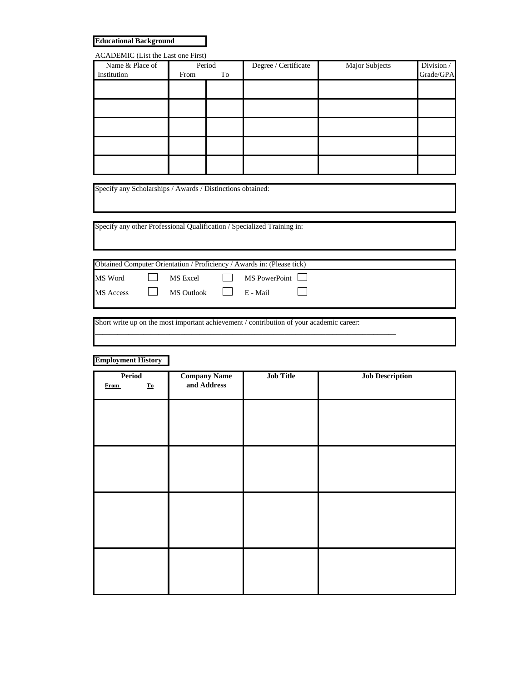**Educational Background**

| ACADEMIC (List the Last one First) |            |  |                      |                       |            |
|------------------------------------|------------|--|----------------------|-----------------------|------------|
| Name & Place of                    | Period     |  | Degree / Certificate | <b>Major Subjects</b> | Division / |
| Institution                        | To<br>From |  |                      |                       | Grade/GPA  |
|                                    |            |  |                      |                       |            |
|                                    |            |  |                      |                       |            |
|                                    |            |  |                      |                       |            |
|                                    |            |  |                      |                       |            |
|                                    |            |  |                      |                       |            |
|                                    |            |  |                      |                       |            |
|                                    |            |  |                      |                       |            |
|                                    |            |  |                      |                       |            |
|                                    |            |  |                      |                       |            |
|                                    |            |  |                      |                       |            |

Specify any Scholarships / Awards / Distinctions obtained:

Specify any other Professional Qualification / Specialized Training in:

| Obtained Computer Orientation / Proficiency / Awards in: (Please tick) |  |                         |  |                          |  |
|------------------------------------------------------------------------|--|-------------------------|--|--------------------------|--|
| MS Word                                                                |  |                         |  | MS Excel   MS PowerPoint |  |
| MS Access                                                              |  | MS Outlook     E - Mail |  |                          |  |
|                                                                        |  |                         |  |                          |  |

Short write up on the most important achievement / contribution of your academic career:

\_\_\_\_\_\_\_\_\_\_\_\_\_\_\_\_\_\_\_\_\_\_\_\_\_\_\_\_\_\_\_\_\_\_\_\_\_\_\_\_\_\_\_\_\_\_\_\_\_\_\_\_\_\_\_\_\_\_\_\_\_\_\_\_\_\_\_\_\_\_\_\_\_\_\_\_\_\_\_\_\_

## **Employment History**

| Period                            | <b>Company Name</b> | <b>Job Title</b> | <b>Job Description</b> |  |  |  |
|-----------------------------------|---------------------|------------------|------------------------|--|--|--|
| $\underline{\mathbf{To}}$<br>From | and Address         |                  |                        |  |  |  |
|                                   |                     |                  |                        |  |  |  |
|                                   |                     |                  |                        |  |  |  |
|                                   |                     |                  |                        |  |  |  |
|                                   |                     |                  |                        |  |  |  |
|                                   |                     |                  |                        |  |  |  |
|                                   |                     |                  |                        |  |  |  |
|                                   |                     |                  |                        |  |  |  |
|                                   |                     |                  |                        |  |  |  |
|                                   |                     |                  |                        |  |  |  |
|                                   |                     |                  |                        |  |  |  |
|                                   |                     |                  |                        |  |  |  |
|                                   |                     |                  |                        |  |  |  |
|                                   |                     |                  |                        |  |  |  |
|                                   |                     |                  |                        |  |  |  |
|                                   |                     |                  |                        |  |  |  |
|                                   |                     |                  |                        |  |  |  |
|                                   |                     |                  |                        |  |  |  |